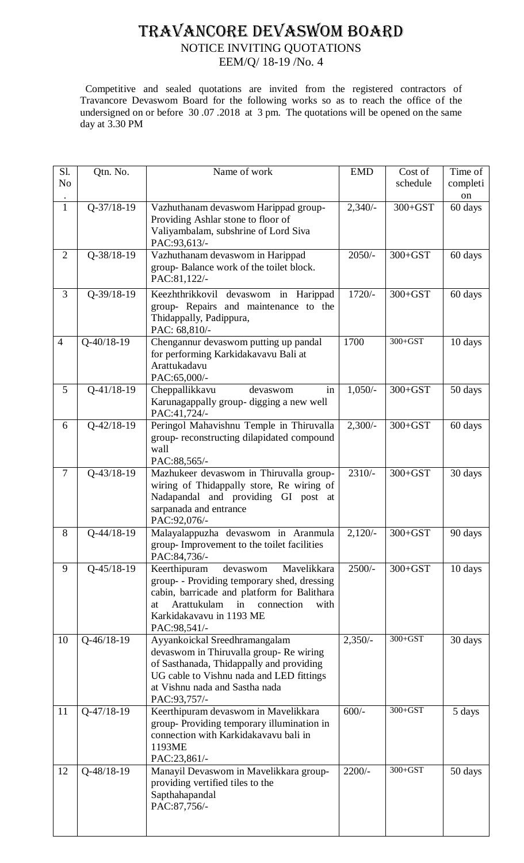## TRAVANCORE DEVASWOM BOARD

## NOTICE INVITING QUOTATIONS

EEM/Q/ 18-19 /No. 4

 Competitive and sealed quotations are invited from the registered contractors of Travancore Devaswom Board for the following works so as to reach the office of the undersigned on or before 30.07.2018 at 3 pm. The quotations will be opened on the same day at 3.30 PM

| Sl.<br>N <sub>o</sub> | Qtn. No.         | Name of work                                                                                                                                                                                                                              | <b>EMD</b> | Cost of<br>schedule | Time of<br>completi<br>on |
|-----------------------|------------------|-------------------------------------------------------------------------------------------------------------------------------------------------------------------------------------------------------------------------------------------|------------|---------------------|---------------------------|
| $\mathbf{1}$          | $Q - 37/18 - 19$ | Vazhuthanam devaswom Harippad group-<br>Providing Ashlar stone to floor of<br>Valiyambalam, subshrine of Lord Siva<br>PAC:93,613/-                                                                                                        | $2,340/-$  | $300 + GST$         | 60 days                   |
| $\overline{2}$        | Q-38/18-19       | Vazhuthanam devaswom in Harippad<br>group-Balance work of the toilet block.<br>PAC:81,122/-                                                                                                                                               | $2050/-$   | $300 + GST$         | 60 days                   |
| 3                     | $Q-39/18-19$     | Keezhthrikkovil devaswom in Harippad<br>group- Repairs and maintenance to the<br>Thidappally, Padippura,<br>PAC: 68,810/-                                                                                                                 | $1720/-$   | $300 + GST$         | 60 days                   |
| $\overline{4}$        | $Q - 40/18 - 19$ | Chengannur devaswom putting up pandal<br>for performing Karkidakavavu Bali at<br>Arattukadavu<br>PAC:65,000/-                                                                                                                             | 1700       | $300 + GST$         | 10 days                   |
| 5                     | $Q-41/18-19$     | Cheppallikkavu<br>devaswom<br>in<br>Karunagappally group- digging a new well<br>PAC:41,724/-                                                                                                                                              | $1,050/-$  | $300 + GST$         | 50 days                   |
| 6                     | $Q-42/18-19$     | Peringol Mahavishnu Temple in Thiruvalla<br>group-reconstructing dilapidated compound<br>wall<br>PAC:88,565/-                                                                                                                             | $2,300/-$  | $300 + GST$         | 60 days                   |
| $\overline{7}$        | $Q - 43/18 - 19$ | Mazhukeer devaswom in Thiruvalla group-<br>wiring of Thidappally store, Re wiring of<br>Nadapandal and providing GI post at<br>sarpanada and entrance<br>PAC:92,076/-                                                                     | $2310/-$   | $300 + GST$         | 30 days                   |
| 8                     | Q-44/18-19       | Malayalappuzha devaswom in Aranmula<br>group-Improvement to the toilet facilities<br>PAC:84,736/-                                                                                                                                         | $2,120/-$  | $300 + GST$         | 90 days                   |
| 9                     | $Q-45/18-19$     | Keerthipuram<br>Mavelikkara<br>devaswom<br>group- - Providing temporary shed, dressing<br>cabin, barricade and platform for Balithara<br><b>Arattukulam</b><br>in<br>connection<br>with<br>at<br>Karkidakavavu in 1193 ME<br>PAC:98,541/- | $2500/-$   | $300 + GST$         | 10 days                   |
| 10                    | $Q-46/18-19$     | Ayyankoickal Sreedhramangalam<br>devaswom in Thiruvalla group- Re wiring<br>of Sasthanada, Thidappally and providing<br>UG cable to Vishnu nada and LED fittings<br>at Vishnu nada and Sastha nada<br>PAC:93,757/-                        | $2,350/-$  | $300 + GST$         | 30 days                   |
| 11                    | $Q-47/18-19$     | Keerthipuram devaswom in Mavelikkara<br>group-Providing temporary illumination in<br>connection with Karkidakavavu bali in<br>1193ME<br>PAC:23,861/-                                                                                      | $600/-$    | $300 + GST$         | 5 days                    |
| 12                    | $Q-48/18-19$     | Manayil Devaswom in Mavelikkara group-<br>providing vertified tiles to the<br>Sapthahapandal<br>PAC:87,756/-                                                                                                                              | $2200/-$   | $300 + GST$         | 50 days                   |